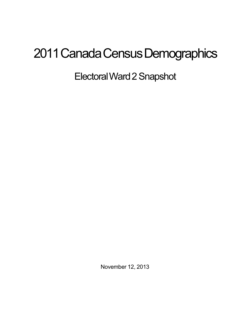## 2011 Canada Census Demographics

ElectoralWard2Snapshot

November 12, 2013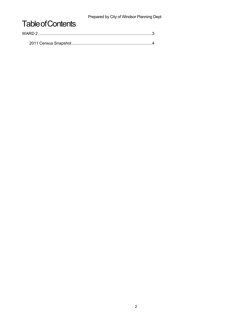Prepared by City of Windsor Planning Dept

## **Table of Contents**

| WARD 2 |  |
|--------|--|
|        |  |
|        |  |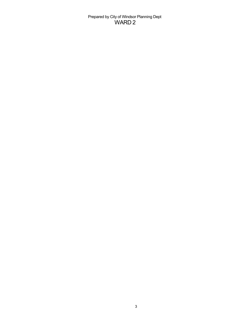Prepared by City of Windsor Planning Dept WARD 2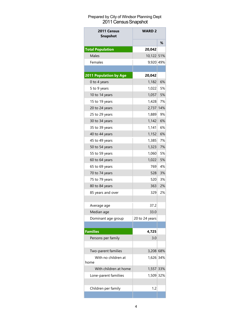## Prepared by City of Windsor Planning Dept 2011 Census Snapshot

| 2011 Census<br><b>Snapshot</b> | <b>WARD 2</b>  |     |
|--------------------------------|----------------|-----|
|                                |                | %   |
| <b>Total Population</b>        | 20.042         |     |
| Males                          | 10,122 51%     |     |
| Females                        | 9,920 49%      |     |
|                                |                |     |
| 2011 Population by Age         | 20,042         |     |
| 0 to 4 years                   | 1,182          | 6%  |
| 5 to 9 years                   | 1,022          | 5%  |
| 10 to 14 years                 | 1,057          | 5%  |
| 15 to 19 years                 | 1.428          | 7%  |
| 20 to 24 years                 | 2,737          | 14% |
| 25 to 29 years                 | 1,889          | 9%  |
| 30 to 34 years                 | 1,142          | 6%  |
| 35 to 39 years                 | 1,141          | 6%  |
| 40 to 44 years                 | 1,152          | 6%  |
| 45 to 49 years                 | 1,385          | 7%  |
| 50 to 54 years                 | 1,323          | 7%  |
| 55 to 59 years                 | 1,060          | 5%  |
| 60 to 64 years                 | 1,022          | 5%  |
| 65 to 69 years                 | 7691           | 4%  |
| 70 to 74 years                 | 528            | 3%  |
| 75 to 79 years                 | 520            | 3%  |
| 80 to 84 years                 | 363            | 2%  |
| 85 years and over              | 329            | 2%  |
|                                |                |     |
| Average age                    | 37.2           |     |
| Median age                     | 33.0           |     |
| Dominant age group             | 20 to 24 years |     |
|                                |                |     |
| <b>Families</b>                | 4,725          |     |
| Persons per family             | 3.0            |     |
|                                |                |     |
| Two-parent families            | 3,208 68%      |     |
| With no children at            | 1,626 34%      |     |
| home                           |                |     |
| With children at home          | 1,557 33%      |     |
| Lone-parent familiies          | 1,509 32%      |     |
|                                |                |     |
| Children per family            | 1.2            |     |
|                                |                |     |